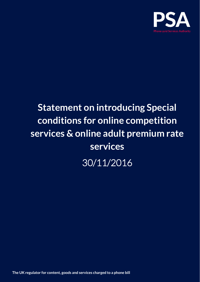

# **Statement on introducing Special conditions for online competition services & online adult premium rate services**

30/11/2016

**The UK regulator for content, goods and services charged to a phone bill**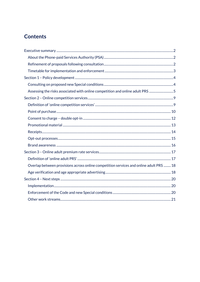## **Contents**

| Assessing the risks associated with online competition and online adult PRS 5          |  |
|----------------------------------------------------------------------------------------|--|
|                                                                                        |  |
|                                                                                        |  |
|                                                                                        |  |
|                                                                                        |  |
|                                                                                        |  |
|                                                                                        |  |
|                                                                                        |  |
|                                                                                        |  |
|                                                                                        |  |
|                                                                                        |  |
| Overlap between provisions across online competition services and online adult PRS  18 |  |
|                                                                                        |  |
|                                                                                        |  |
|                                                                                        |  |
|                                                                                        |  |
|                                                                                        |  |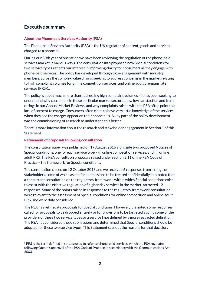## <span id="page-2-0"></span>**Executive summary**

#### <span id="page-2-1"></span>**About the Phone-paid Services Authority (PSA)**

The Phone-paid Services Authority (PSA) is the UK regulator of content, goods and services charged to a phone bill.

During our 30th year of operation we have been reviewing the regulation of the phone-paid services market in various ways. The consultation into proposed new Special conditions for two service types reflects our interest in improving clarity for consumers as they engage with phone-paid services. The policy has developed through close engagement with industry members, across the complex value chains, seeking to address concerns in the market relating to high complaint volumes for online competition services, and online adult premium rate services (PRS)1.

The policy is about much more than addressing high complaint volumes – it has been seeking to understand why consumers in these particular market sectors show low satisfaction and trust ratings in our Annual Market Reviews, and why complaints raised with the PSA often point to a lack of consent to charge. Consumers often claim to have very little knowledge of the services when they see the charges appear on their phone bills. A key part of the policy development was the commissioning of research to understand this better.

There is more information about the research and stakeholder engagement in Section 1 of this Statement.

#### <span id="page-2-2"></span>**Refinement of proposals following consultation**

The consultation paper was published on 17 August 2016 alongside two proposed Notices of Special conditions, one for each service type – (i) online competition services, and (ii) online adult PRS. The PSA consults on proposals raised under section 3.11 of the PSA Code of Practice – the framework for Special conditions.

The consultation closed on 12 October 2016 and we received 6 responses from a range of stakeholders, some of which asked for submissions to be treated confidentially. It is noted that a concurrent consultation on the regulatory framework, within which Special conditions exist to assist with the effective regulation of higher risk services in the market, attracted 12 responses. Some of the points raised in responses to the regulatory framework consultation were relevant to the assessment of Special conditions for online competition and online adult PRS, and were duly considered.

The PSA has refined its proposals for Special conditions. However, it is noted some responses called for proposals to be dropped entirely or for provisions to be targeted at only some of the providers of these two service types or a service type defined by a more restricted definition. The PSA has considered these submissions and determined that Special conditions should be adopted for these two service types. This Statement sets out the reasons for that decision.

<sup>-</sup> $1$  PRS is the term defined in statute used to refer to phone-paid services, which the PSA regulates following Ofcom's approval of the PSA Code of Practice in accordance with the Communications Act 2003.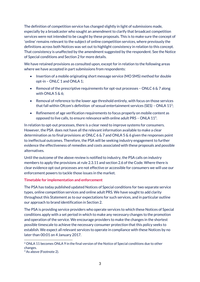The definition of competition service has changed slightly in light of submissions made, especially by a broadcaster who sought an amendment to clarify that broadcast competition services were not intended to be caught by these proposals. This is to make sure the concept of 'online' remains relevant to the subject of online competition services, where previously the definitions across both Notices was set out to highlight consistency in relation to this concept. That consistency is unaffected by the amendment suggested by the respondent. See the Notice of Special conditions and Section 2 for more details.

We have retained provisions as consulted upon, except for in relation to the following areas where we have accepted in part submissions from respondents:

- Insertion of a mobile originating short message service (MO SMS) method for double opt-in – ONLC 1 and ONLA 1;
- **•** Removal of the prescriptive requirements for opt-out processes ONLC 6  $\&$  7 along with ONLA 5 & 6;
- Removal of reference to the lower age threshold entirely, with focus on those services that fall within Ofcom's definition of sexual entertainment services (SES) – ONLA 11<sup>2</sup>;
- Refinement of age verification requirements to focus properly on mobile content as opposed to live calls, to ensure relevance with online adult PRS – ONLA  $11^3$ .

In relation to opt-out processes, there is a clear need to improve systems for consumers. However, the PSA does not have all the relevant information available to make a clear determination as to final provisions at ONLC 6 & 7 and ONLA 5 & 6 given the responses point to ineffectual outcomes. Therefore, the PSA will be seeking industry engagement to further evidence the effectiveness of remedies and costs associated with these proposals and possible alternatives.

Until the outcome of the above review is notified to industry, the PSA calls on industry members to apply the provisions at rule 2.3.11 and section 2.6 of the Code. Where there is clear evidence opt-out processes are not effective or accessible for consumers we will use our enforcement powers to tackle those issues in the market.

#### <span id="page-3-0"></span>**Timetable for implementation and enforcement**

The PSA has today published updated Notices of Special conditions for two separate service types, online competition services and online adult PRS. We have sought to add clarity throughout this Statement as to our expectations for such services, and in particular outline our approach to brand identification in Section 2.

The PSA is providing service providers who operate services to which these Notices of Special conditions apply with a set period in which to make any necessary changes to the promotion and operation of the service. We encourage providers to make the changes in the shortest possible timescale to achieve the necessary consumer protection that this policy seeks to establish. We expect all relevant services to operate in compliance with these Notices by no later than 00:01 on 4 January 2017.

 $2$  ONLA 11 becomes ONLA 9 in the final version of the Notice of Special conditions due to other changes.

<sup>&</sup>lt;sup>3</sup> As above (Footnote 2).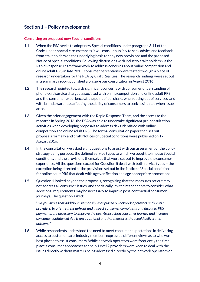## <span id="page-4-0"></span>**Section 1 – Policy development**

#### <span id="page-4-1"></span>**Consulting on proposed new Special conditions**

- 1.1 When the PSA seeks to adopt new Special conditions under paragraph 3.11 of the Code, under normal circumstances it will consult publicly to seek advice and feedback from stakeholders on the underlying basis for any new provisions and the proposed Notice of Special conditions. Following discussions with industry stakeholders via the Rapid Response Team framework to address concerns about online competition and online adult PRS in late 2015, consumer perceptions were tested through a piece of research undertaken for the PSA by Craft Realities. The research findings were set out in a summary report published alongside our consultation in August 2016.
- 1.2 The research pointed towards significant concerns with consumer understanding of phone-paid service charges associated with online competition and online adult PRS, and the consumer experience at the point of purchase, when opting out of services, and with brand awareness affecting the ability of consumers to seek assistance when issues arise.
- 1.3 Given the prior engagement with the Rapid Response Team, and the access to the research in Spring 2016, the PSA was able to undertake significant pre-consultation activities when developing proposals to address risks identified with online competition and online adult PRS. The formal consultation paper then set out proposals formally and draft Notices of Special conditions were published on 17 August 2016.
- 1.4 In the consultation we asked eight questions to assist with our assessment of the policy strategy being pursued, the defined service types to which we sought to impose Special conditions, and the provisions themselves that were set out to improve the consumer experience. All the questions except for Question 5 dealt with both service types – the exception being directed at the provisions set out in the Notice of Special conditions for online adult PRS that dealt with age verification and age appropriate promotions.
- 1.5 Question 1 looked beyond the proposals, recognising that the measures set out may not address all consumer issues, and specifically invited respondents to consider what additional requirements may be necessary to improve post-contractual consumer journeys. The question asked:

"*Do you agree that additional responsibilities placed on network operators and Level 1 providers, to offer redress upfront and inspect consumer complaints and disputed PRS payments, are necessary to improve the post-transaction consumer journey and increase consumer confidence? Are there additional or other measures that could deliver this outcome?*"

1.6 While respondents understood the need to meet consumer expectations in delivering access to customer care, industry members expressed different views as to who was best placed to assist consumers. While network operators were frequently the first place a consumer approaches for help, Level 2 providers were keen to deal with the issues directly without matters being addressed directly by the network operators or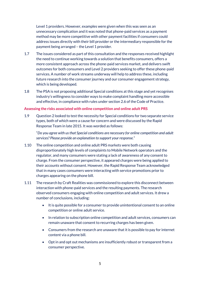Level 1 providers. However, examples were given when this was seen as an unnecessary complication and it was noted that phone-paid services as a payment method may be more competitive with other payment facilities if consumers could address issues directly with their bill provider or the intermediary responsible for the payment being arranged – the Level 1 provider.

- 1.7 The issues considered as part of this consultation and the responses received highlight the need to continue working towards a solution that benefits consumers, offers a more consistent approach across the phone-paid services market, and delivers swift outcomes for both consumers and Level 2 providers seeking to offer these phone-paid services. A number of work streams underway will help to address these, including future research into the consumer journey and our consumer engagement strategy, which is being developed.
- 1.8 The PSA is not proposing additional Special conditions at this stage and yet recognises industry's willingness to consider ways to make complaint handling more accessible and effective, in compliance with rules under section 2.6 of the Code of Practice.

#### <span id="page-5-0"></span>**Assessing the risks associated with online competition and online adult PRS**

1.9 Question 2 looked to test the necessity for Special conditions for two separate service types, both of which were a cause for concern and were discussed by the Rapid Response Team in late 2015. It was worded as follows:

"*Do you agree with us that Special conditions are necessary for online competition and adult services? Please provide an explanation to support your response.*"

- 1.10 The online competition and online adult PRS markets were both causing disproportionately high levels of complaints to Mobile Network operators and the regulator, and many consumers were stating a lack of awareness of any consent to charge. From the consumer perspective, it appeared charges were being applied to their accounts without consent. However, the Rapid Response Team acknowledged that in many cases consumers were interacting with service promotions prior to charges appearing on the phone bill.
- 1.11 The research by Craft Realities was commissioned to explore this disconnect between interaction with phone-paid services and the resulting payments. The research observed consumers engaging with online competition and adult services. It drew a number of conclusions, including:
	- It is quite possible for a consumer to provide unintentional consent to an online competition or online adult service.
	- In relation to subscription online competition and adult services, consumers can remain unaware that consent to recurring charges has been given.
	- Consumers from the research are unaware that it is possible to pay for internet content via a phone bill.
	- Opt in and opt out mechanisms are insufficiently robust or transparent from a consumer perspective.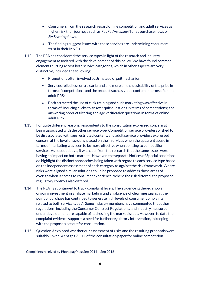- Consumers from the research regard online competition and adult services as higher risk than journeys such as PayPal/Amazon/iTunes purchase flows or SMS voting flows.
- The findings suggest issues with these services are undermining consumers' trust in their MNOs.
- 1.12 The PSA has considered the service types in light of the research and industry engagement associated with the development of this policy. We have found common elements cutting across both service categories, which in other aspects are very distinctive, included the following:
	- Promotions often involved *push* instead of *pull* mechanics;
	- Services relied less on a clear brand and more on the desirability of the prize in terms of competitions, and the product such as video content in terms of online adult PRS;
	- Both attracted the use of click training and such marketing was effective in terms of: inducing clicks to answer quiz questions in terms of competitions; and, answering product filtering and age verification questions in terms of online adult PRS.
- 1.13 For quite different reasons, respondents to the consultation expressed concern at being associated with the other service type. Competition service providers wished to be disassociated with age restricted content; and adult service providers expressed concern at the level of scrutiny placed on their services when the apparent abuse in terms of marketing was seen to be more effective when pointing to competition services. As set out above, it was clear from the research that the same issues were having an impact on both markets. However, the separate Notices of Special conditions do highlight the distinct approaches being taken with regard to each service type based on the independent assessment of each category as against the risk framework. Where risks were aligned similar solutions could be proposed to address those areas of overlap when it comes to consumer experience. Where the risk differed, the proposed regulatory controls also differed.
- 1.14 The PSA has continued to track complaint levels. The evidence gathered shows ongoing investment in affiliate marketing and an absence of clear messaging at the point of purchase has continued to generate high levels of consumer complaints related to both service types<sup>4</sup>. Some industry members have commented that other regulations, including the Consumer Contract Regulations, and industry measures under development are capable of addressing the market issues. However, to date the complaint evidence supports a need for further regulatory intervention, in keeping with the proposals set out for consultation.
- 1.15 Question 3 explored whether our assessment of risks and the resulting proposals were suitably linked. At pages 7 – 11 of the consultation paper for online competition

<sup>-</sup><sup>4</sup> Complaints received by PhonepayPlus: Sep 2014 – Sep 2016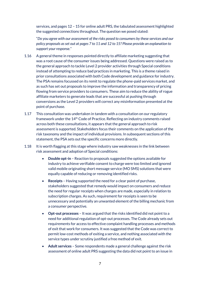services, and pages 12 – 15 for online adult PRS, the tabulated assessment highlighted the suggested connections throughout. The question we posed stated:

"*Do you agree with our assessment of the risks posed to consumers by these services and our policy proposals as set out at pages 7 to 11 and 12 to 15? Please provide an explanation to support your response.*"

- 1.16 A general theme in responses pointed directly to affiliate marketing suggesting that was a root cause of the consumer issues being addressed. Questions were raised as to the general approach to tackle Level 2 provider activities through Special conditions instead of attempting to reduce bad practices in marketing. This is a theme raised in prior consultations associated with both Code development and guidance for industry. The PSA remains focussed on its remit to regulate the phone-paid services market, and as such has set out proposals to improve the information and transparency of pricing flowing from service providers to consumers. These aim to reduce the ability of rogue affiliate marketers to generate leads that are successful at pushing through conversions as the Level 2 providers will correct any misinformation presented at the point of purchase.
- 1.17 This consultation was undertaken in tandem with a consultation on our regulatory framework under the 14th Code of Practice. Reflecting on industry comments raised across both these consultations, it appears that the general approach to risk assessment is supported. Stakeholders focus their comments on the application of the risk taxonomy and the impact of individual provisions. In subsequent sections of this statement, the PSA sets out the specific concerns more directly.
- 1.18 It is worth flagging at this stage where industry saw weaknesses in the link between risk assessment and adoption of Special conditions:
	- **Double opt-in** Reaction to proposals suggested the options available for industry to achieve verifiable consent to charge were too limited and ignored valid mobile originating short message service (MO SMS) solutions that were equally capable of reducing or removing identified risks.
	- **Receipts** Having supported the need for a clear point of purchase, stakeholders suggested that remedy would impact on consumers and reduce the need for regular receipts when charges are made, especially in relation to subscription charges. As such, requirement for receipts is seen to be unnecessary and potentially an unwanted element of the billing mechanic from a consumer perspective.
	- **Opt-out processes**  It was argued that the risks identified did not point to a need for additional regulation of opt-out processes. The Code already sets out requirements for access to effective complaint handling processes and methods of exit that work for consumers. It was suggested that the Code was correct to permit low-cost methods of exiting a service, and nothing associated with the service types under scrutiny justified a free method of exit.
	- **Adult services**  Some respondents made a general challenge against the risk assessment of online adult PRS suggesting the data did not point to an issue in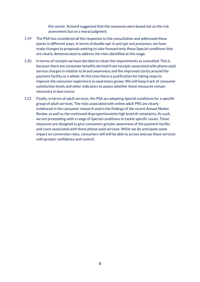this sector. Action4 suggested that the measures were based not on the risk assessment but on a moral judgment.

- 1.19 The PSA has considered all the responses to the consultation and addressed these points in different ways. In terms of double opt-in and opt-out processes, we have made changes to proposals seeking to take forward only those Special conditions that are clearly demonstrated to address the risks identified at this stage.
- 1.20 In terms of receipts we have decided to retain the requirements as consulted. This is because there are consumer benefits derived from receipts associated with phone-paid service charges in relation to brand awareness and the improved clarity around the payment facility as a whole. At this time there is justification for taking steps to improve the consumer experience so awareness grows. We will keep track of consumer satisfaction levels and other indicators to assess whether these measures remain necessary in due course.
- 1.21 Finally, in terms of adult services, the PSA are adopting Special conditions for a specific group of adult services. The risks associated with online adult PRS are clearly evidenced in the consumer research and in the findings of the recent *Annual Market Review*, as well as the continued disproportionately high level of complaints. As such, we are proceeding with a range of Special conditions to tackle specific issues. These measures are designed to give consumers greater awareness of the payment facility and costs associated with these phone-paid services. While we do anticipate some impact on conversion rates, consumers will still be able to access and use these services with greater confidence and control.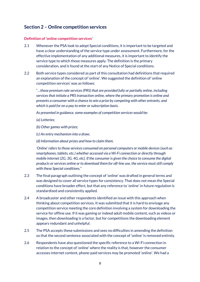## <span id="page-9-0"></span>**Section 2 – Online competition services**

#### <span id="page-9-1"></span>**Definition of 'online competition services'**

- 2.1 Whenever the PSA look to adopt Special conditions, it is important to be targeted and have a clear understanding of the service type under assessment. Furthermore, for the effective implementation of any additional measures, it is important to identify the service type to which those measures apply. The definition is the primary consideration, and is found at the start of any Notice of Special conditions.
- 2.2 Both service types considered as part of this consultation had definitions that required an explanation of the concept of 'online'. We suggested the definition of 'online competition services' was as follows:

"…*those premium rate services (PRS) that are provided fully or partially online, including services that initiate a PRS transaction online, where the primary promotion is online and presents a consumer with a chance to win a prize by competing with other entrants, and which is paid for on a pay to enter or subscription basis.*

*As presented in guidance, some examples of competition services would be:*

*(a) Lotteries;*

*(b) Other games with prizes;*

*(c) An entry mechanism into a draw;*

*(d) Information about prizes and how to claim them.*

*'Online' refers to those services consumed on personal computers or mobile devices (such as smartphones, tablets, etc.) whether accessed via a Wi-Fi connection or directly through mobile internet (2G, 3G, 4G, etc). If the consumer is given the choice to consume the digital products or services online or to download them for off-line use, the service must still comply with these Special conditions.*"

- 2.3 The final paragraph outlining the concept of 'online' was drafted in general terms and was designed to cover all service types for consistency. That does not mean the Special conditions have broader effect, but that any reference to 'online' in future regulation is standardised and consistently applied.
- 2.4 A broadcaster and other respondents identified an issue with this approach when thinking about competition services. It was submitted that it is hard to envisage any competition service meeting the core definition involving a system for downloading the service for offline use. If it was gaming or indeed adult mobile content, such as videos or images, then downloading is a factor, but for competitions the downloading element appears redundant and unhelpful.
- 2.5 The PSA accepts these submissions and sees no difficulties in amending the definition so that the second sentence associated with the concept of 'online' is removed entirely.
- 2.6 Respondents have also questioned the specific reference to a Wi-Fi connection in relation to the concept of 'online' where the reality is that, however the consumer accesses internet content, phone-paid services may be promoted 'online'. We had a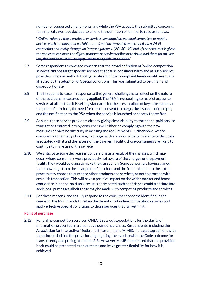number of suggested amendments and while the PSA accepts the submitted concerns, for simplicity we have decided to amend the definition of 'online' to read as follows:

"*'Online' refers to those products or services consumed on personal computers or mobile devices (such as smartphones, tablets, etc.) and are provided or accessed via a Wi-Fi connection or directly through an internet gateway. (2G, 3G, 4G, etc). If the consumer is given the choice to consume the digital products or services online or to download them for off-line use, the service must still comply with these Special conditions.*"

- 2.7 Some respondents expressed concern that the broad definition of 'online competition services' did not target specific services that cause consumer harm and as such service providers who currently did not generate significant complaint levels would be equally affected by the adoption of Special conditions. This was submitted to be unfair and disproportionate.
- 2.8 The first point to raise in response to this general challenge is to reflect on the nature of the additional measures being applied. The PSA is not seeking to restrict access to services at all. Instead it is setting standards for the presentation of key information at the point of purchase, the need for robust consent to charge, the issuance of receipts, and the notification to the PSA when the service is launched or shortly thereafter.
- 2.9 As such, those service providers already giving clear visibility to the phone-paid service transactions entered into by consumers will either be complying with the new measures or have no difficulty in meeting the requirements. Furthermore, where consumers are already choosing to engage with a service with full visibility of the costs associated with it and the nature of the payment facility, those consumers are likely to continue to make use of the service.
- 2.10 We anticipate some decrease in conversions as a result of the changes, which may occur where consumers were previously not aware of the charges or the payment facility they would be using to make the transaction. Some consumers having gained that knowledge from the clear point of purchase and the friction built into the opt-in process may choose to purchase other products and services, or not to proceed with any such transaction. This will have a positive impact on the wider market and boost confidence in phone-paid services. It is anticipated such confidence could translate into additional purchases albeit these may be made with competing products and services.
- 2.11 For these reasons, and to fully respond to the consumer concerns identified in the research, the PSA intends to retain the definition of online competition services and apply effective Special conditions to those services that fall within it.

#### <span id="page-10-0"></span>**Point of purchase**

2.12 For online competition services, ONLC 1 sets out expectations for the clarity of information presented in a distinctive point of purchase. Respondents, including the Association for Interactive Media and Entertainment (AIME), indicated agreement with the principle behind the provision, highlighting the overlap with the Code outcome for transparency and pricing at section 2.2. However, AIME commented that the provision itself could be presented as an outcome and leave greater flexibility for how it is achieved.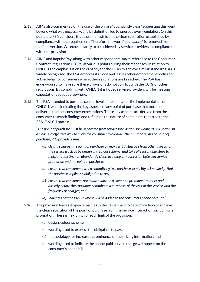- 2.13 AIME also commented on the use of the phrase "abundantly clear" suggesting this went beyond what was necessary, and by definition led to onerous over-regulation. On this point, the PSA considers that the emphasis is on the clear separation established by compliance with the requirement. Therefore the word "*abundantly*" is removed from the final version. We expect clarity to be achieved by service providers in compliance with this provision.
- 2.14 AIME and ImpulsePay, along with other respondents, make reference to the Consumer Contract Regulations (CCRs) at various points during their responses. In relation to ONLC 1 the emphasis is on the capacity for the CCRs to achieve similar standards. As is widely recognised, the PSA enforces its Code and leaves other enforcement bodies to act on behalf of consumers when other regulations are breached. The PSA has endeavoured to make sure these provisions do not conflict with the CCRs or other regulations. By complying with ONLC 1 it is hoped service providers will be meeting expectations set out elsewhere.
- 2.15 The PSA intended to permit a certain level of flexibility for the implementation of ONLC 1, while indicating the key aspects of any point of purchase that must be delivered to meet consumer expectations. These key aspects are derived from the consumer research findings and reflect on the nature of complaints reported to the PSA. ONLC 1 states:

"*The point of purchase must be separated from service interaction, including its promotion, in a clear and effective way to allow the consumer to consider their purchase. At the point of purchase, PRS providers must:*

- *(a) clearly signpost the point of purchase by making it distinctive from other aspects of the service (such as by design and colour scheme) and take all reasonable steps to make that distinction abundantly clear, avoiding any confusion between service promotion and the point of purchase;*
- *(b) ensure that consumers, when committing to a purchase, explicitly acknowledge that the purchase implies an obligation to pay;*
- *(c) ensure that consumers are made aware, in a clear and prominent manner and directly before the consumer commits to a purchase, of the cost of the service, and the frequency of charges; and*
- *(d) indicate that the PRS payment will be added to the consumers phone account.*"
- 2.16 The provision leaves it open to parties in the value chain to determine how to achieve the clear separation of the point of purchase from the service interaction, including its promotion. There is flexibility for each limb of the provision:
	- (a) design, colour scheme,
	- (b) wording used to express the obligation to pay,
	- (c) methodology for increased prominence of the pricing information, and
	- (d) wording used to indicate the phone-paid service charge will appear on the consumer's phone bill.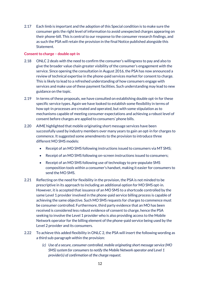2.17 Each limb is important and the adoption of this Special condition is to make sure the consumer gets the right level of information to avoid unexpected charges appearing on their phone-bill. This is central to our response to the consumer research findings, and as such the PSA will retain the provision in the final Notice published alongside this Statement.

#### <span id="page-12-0"></span>**Consent to charge – double opt-in**

- 2.18 ONLC 2 deals with the need to confirm the consumer's willingness to pay and also to give the broader value chain greater visibility of the consumer's engagement with the service. Since opening the consultation in August 2016, the PSA has now announced a review of technical expertise in the phone-paid services market for consent to charge. This is likely to lead to a refreshed understanding of how consumers engage with services and make use of these payment facilities. Such understanding may lead to new guidance on the topic.
- 2.19 In terms of these proposals, we have consulted on establishing double opt-in for these specific service types. Again we have looked to establish some flexibility in terms of how opt-in processes are created and operated, but with some stipulation as to mechanisms capable of meeting consumer expectations and achieving a robust level of consent before charges are applied to consumers' phone bills.
- 2.20 AIME highlighted that mobile originating short message services have been successfully used by industry members over many years to gain an opt-in for charges to commence. It suggested some amendments to the provision to introduce three different MO SMS models:
	- Receipt of an MO SMS following instructions issued to consumers via MT SMS;
	- Receipt of an MO SMS following on-screen instructions issued to consumers;
	- Receipt of an MO SMS following use of technology to pre-populate SMS composition tools within a consumer's handset, making it easier for consumers to send the MO SMS.
- 2.21 Reflecting on the need for flexibility in the provision, the PSA is not minded to be prescriptive in its approach to including an additional option for MO SMS opt-in. However, it is accepted that issuance of an MO SMS to a shortcode controlled by the same Level 1 provider involved in the phone-paid service billing process is capable of achieving the same objective. Such MO SMS requests for charges to commence must be consumer controlled. Furthermore, third party evidence that an MO has been received is considered less robust evidence of consent to charge, hence the PSA seeking to involve the Level 1 provider who is also providing access to the Mobile Network operator for the billing element of the phone-paid service being used by the Level 2 provider and its consumers.
- 2.22 To achieve this added flexibility in ONLC 2, the PSA will insert the following wording as a third sub-paragraph within the provision:
	- *(c) Use of a secure, consumer controlled, mobile originating short message service (MO SMS) system for consumers to notify the Mobile Network operator and Level 1 provider(s) of confirmation of the charge request.*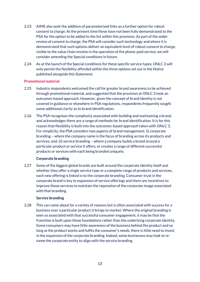- 2.23 AIME also seek the addition of parameterised links as a further option for robust consent to charge. At the present time these have not been fully demonstrated to the PSA for the option to be added to the list within this provision. As part of the wider review of consent to charge, the PSA will consider such technology and where it is demonstrated that such options deliver an equivalent level of robust consent to charge, visible to the value chain involve in the operation of the phone-paid service, we will consider amending the Special conditions in future.
- 2.24 As at the launch of the Special conditions for these specific service types, ONLC 2 will only permit the flexibility afforded within the three options set out in the Notice published alongside this Statement.

#### <span id="page-13-0"></span>**Promotional material**

- 2.25 Industry respondents welcomed the call for greater brand awareness to be achieved through promotional material, and suggested that the provision at ONLC 3 took an outcomes-based approach. However, given the concept of brand identity is not covered in guidance or elsewhere in PSA regulations, respondents frequently sought some additional clarity as to brand identification.
- 2.26 The PSA recognises the complexity associated with building and maintaining a brand, and acknowledges there are a range of methods for brand identification. It is for this reason that flexibility is built into the outcomes-based approach taken with ONLC 3. For simplicity, the PSA considers two aspects of brand management: (i) corporate branding – where the company name is the focus of branding across its products and services; and, (ii) service branding – where a company builds a brand around a particular product or service it offers, or creates a range of different successful products or services with each being branded uniquely.

#### **Corporate branding**

2.27 Some of the biggest global brands are built around the corporate identity itself and whether they offer a single service type or a complete range of products and services, each new offering is linked in to the corporate branding. Consumer trust in the corporate brand is key to expansion of service offerings and there are incentives to improve those services to maintain the reputation of the corporate image associated with that branding.

#### **Service branding**

2.28 This can come about for a variety of reasons but is often associated with success for a business over a particular product it brings to market. Where the original branding is seen as associated with that successful consumer engagement, it may be that the franchise is built upon those foundations rather than the underlying corporate identity. Some consumers may have little awareness of the business behind the product and so long as the product works and fulfils the consumer's needs, there is little need to invest in the expansion of the corporate branding. Indeed, some businesses may look to rename the corporate entity to align with the service branding.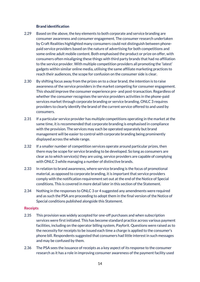#### **Brand identification**

- 2.29 Based on the above, the key elements to both corporate and service branding are consumer awareness and consumer engagement. The consumer research undertaken by Craft Realities highlighted many consumers could not distinguish between phonepaid service providers based on the nature of advertising for both competitions and some online adult mobile content. Both emphasised the product or prize on offer, with consumers often misaligning these things with third party brands that had no affiliation to the service provider. With multiple competition providers all promoting the 'latest' gadgets within similar online media, utilising the same affiliate marketing practices to reach their audiences, the scope for confusion on the consumer side is clear.
- 2.30 By shifting focus away from the prizes on to a clear brand, the intention is to raise awareness of the service providers in the market competing for consumer engagement. This should improve the consumer experience pre- and post-transaction. Regardless of whether the consumer recognises the service providers activities in the phone-paid services market through corporate branding or service branding, ONLC 3 requires providers to clearly identify the brand of the current service offered to and used by consumers.
- 2.31 If a particular service provider has multiple competitions operating in the market at the same time, it is recommended that corporate branding is emphasised in compliance with the provision. The services may each be operated separately but brand management will be easier to control with corporate branding being prominently displayed across the whole range.
- 2.32 If a smaller number of competition services operate around particular prizes, then there may be scope for service branding to be developed. So long as consumers are clear as to which service(s) they are using, service providers are capable of complying with ONLC 3 while managing a number of distinctive brands.
- 2.33 In relation to brand awareness, where service branding is the focus of promotional material, as opposed to corporate branding, it is important that service providers comply with the notification requirement set out at the end of the Notice of Special conditions. This is covered in more detail later in this section of the Statement.
- 2.34 Nothing in the responses to ONLC 3 or 4 suggested any amendments were required and as such the PSA are proceeding to adopt them in the final version of the Notice of Special conditions published alongside this Statement.

#### <span id="page-14-0"></span>**Receipts**

- 2.35 This provision was widely accepted for one-off purchases and when subscription services were first initiated. This has become standard practice across various payment facilities, including on the operator billing system, Payforit. Questions were raised as to the necessity for receipts to be issued each time a charge is applied to the consumer's phone bill. Respondents suggested that consumers had little interest in such messages and may be confused by them.
- 2.36 The PSA sees the issuance of receipts as a key aspect of its response to the consumer research as it has a role in improving consumer awareness of the payment facility used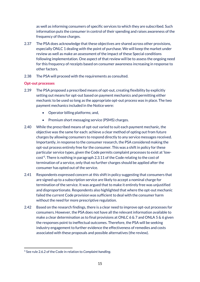as well as informing consumers of specific services to which they are subscribed. Such information puts the consumer in control of their spending and raises awareness of the frequency of those charges.

- 2.37 The PSA does acknowledge that these objectives are shared across other provisions, especially ONLC 1 dealing with the point of purchase. We will keep the market under review as well as make an assessment of the impact of these Special conditions following implementation. One aspect of that review will be to assess the ongoing need for this frequency of receipts based on consumer awareness increasing in response to other factors.
- 2.38 The PSA will proceed with the requirements as consulted.

#### <span id="page-15-0"></span>**Opt-out processes**

- 2.39 The PSA proposed a prescribed means of opt-out, creating flexibility by explicitly setting out means for opt-out based on payment mechanics and permitting either mechanic to be used so long as the appropriate opt-out process was in place. The two payment mechanics included in the Notice were:
	- Operator billing platforms; and,
	- Premium short messaging service (PSMS) charges.
- 2.40 While the prescribed means of opt-out varied to suit each payment mechanic, the objective was the same for each: achieve a clear method of opting out from future charges by allowing consumers to respond directly to any service messages received. Importantly, in response to the consumer research, the PSA considered making the opt-out process entirely free for the consumer. This was a shift in policy for these particular service types, given the Code permits complaint processes to exist at 'lowcost'<sup>5</sup> . There is nothing in paragraph 2.3.11 of the Code relating to the cost of termination of a service, only that no further charges should be applied after the consumer has opted out of the service.
- 2.41 Respondents expressed concern at this shift in policy suggesting that consumers that are signed up to a subscription service are likely to accept a nominal charge for termination of the service. It was argued that to make it entirely free was unjustified and disproportionate. Respondents also highlighted that where the opt-out mechanic failed the current Code provision was sufficient to deal with the consumer harm without the need for more prescriptive regulation.
- 2.42 Based on the research findings, there is a clear need to improve opt-out processes for consumers. However, the PSA does not have all the relevant information available to make a clear determination as to final provisions at ONLC 6 & 7 and ONLA 5 & 6 given the responses point to ineffectual outcomes. Therefore, the PSA will be seeking industry engagement to further evidence the effectiveness of remedies and costs associated with these proposals and possible alternatives (the review).

<sup>-</sup><sup>5</sup> See rule 2.6.2 of the Code in relation to *Complaint handling*.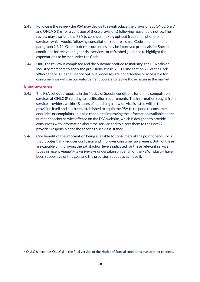- 2.43 Following the review the PSA may decide to re-introduce the provisions at ONLC 6 & 7 and ONLA 5 & 6 (or a variation of these provisions) following reasonable notice. The review may also lead the PSA to consider making opt-out free for all phone-paid services, which would, following consultation, require a small Code amendment at paragraph 2.3.11. Other potential outcomes may be improved proposals for Special conditions for relevant higher risk services, or refreshed guidance to highlight the expectations to be met under the Code.
- 2.44 Until the review is completed and the outcome notified to industry, the PSA calls on industry members to apply the provisions at rule 2.3.11 and section 2.6 of the Code. Where there is clear evidence opt-out processes are not effective or accessible for consumers we will use our enforcement powers to tackle those issues in the market.

#### <span id="page-16-0"></span>**Brand awareness**

- 2.45 The PSA set out proposals in the Notice of Special conditions for online competition services at ONLC 8<sup>6</sup> relating to notification requirements. The information sought from service providers within 48 hours of launching a new service is listed within the provision itself and has been established to equip the PSA to respond to consumer enquiries or complaints. It is also capable to improving the information available on the number checker service offered on the PSA website, which is designed to provide consumers with information about the service and to direct them to the Level 2 provider responsible for the service to seek assistance.
- 2.46 One benefit of the information being available to consumers at the point of enquiry is that it potentially reduces confusion and improves consumer awareness. Both of these are capable of improving the satisfaction levels indicated for these relevant service types in recent *Annual Market Reviews* undertaken on behalf of the PSA. Industry have been supportive of this goal and the provision set out to achieve it.

<sup>-</sup> $6$  ONLC 8 becomes ONLC 6 in the final version of the Notice of Special conditions due to other changes.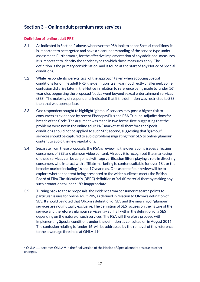## <span id="page-17-0"></span>**Section 3 – Online adult premium rate services**

#### <span id="page-17-1"></span>**Definition of 'online adult PRS'**

- 3.1 As indicated in Section 2 above, whenever the PSA look to adopt Special conditions, it is important to be targeted and have a clear understanding of the service type under assessment. Furthermore, for the effective implementation of any additional measures, it is important to identify the service type to which those measures apply. The definition is the primary consideration, and is found at the start of any Notice of Special conditions.
- 3.2 While respondents were critical of the approach taken when adopting Special conditions for online adult PRS, the definition itself was not directly challenged. Some confusion did arise later in the Notice in relation to reference being made to 'under 16' year olds suggesting the proposed Notice went beyond sexual entertainment services (SES). The majority of respondents indicated that if the definition was restricted to SES then that was appropriate.
- 3.3 One respondent sought to highlight 'glamour' services may pose a higher risk to consumers as evidenced by recent PhonepayPlus and PSA Tribunal adjudications for breach of the Code. The argument was made in two forms: first, suggesting that the problems were not in the online adult PRS market at all therefore the Special conditions should not be applied to such SES; second, suggesting that 'glamour' services should be captured to avoid problems migrating from SES to online 'glamour' content to avoid the new regulations.
- 3.4 Separate from these proposals, the PSA is reviewing the overlapping issues affecting consumers of SES and glamour video content. Already it is recognised that marketing of these services can be conjoined with age verification filters playing a role in directing consumers who interact with affiliate marketing to content suitable for over 18's or the broader market including 16 and 17 year olds. One aspect of our review will be to explore whether content being presented to the wider audience meets the British Board of Film Classification's (BBFC) definition of 'adult' material thereby making any such promotion to under 18's inappropriate.
- 3.5 Turning back to these proposals, the evidence from consumer research points to particular issues for online adult PRS, as defined in relation to Ofcom's definition of SES. It should be noted that Ofcom's definition of SES and the meaning of 'glamour' services are not mutually exclusive. The definition of SES focuses on the nature of the service and therefore a glamour service may still fall within the definition of a SES depending on the nature of such services. The PSA will therefore proceed with implementing Special conditions under the definition as consulted on in August 2016. The confusion relating to 'under 16' will be addressed by the removal of this reference to the lower age threshold at ONLA 117.

 $7$  ONLA 11 becomes ONLA 9 in the final version of the Notice of Special conditions due to other changes.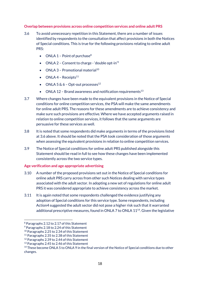#### <span id="page-18-0"></span>**Overlap between provisions across online competition services and online adult PRS**

- 3.6 To avoid unnecessary repetition in this Statement, there are a number of issues identified by respondents to the consultation that affect provisions in both the Notices of Special conditions. This is true for the following provisions relating to online adult PRS:
	- ONLA  $1$  Point of purchase<sup>8</sup>
	- ONLA 2 Consent to charge 'double opt-in'<sup>9</sup>
	- ONLA  $3$  Promotional material<sup>10</sup>
	- $\bullet$  ONLA 4 Receipts<sup>11</sup>
	- ONLA  $5 \& 6$  Opt-out processes<sup>12</sup>
	- ONLA 12 Brand awareness and notification requirements<sup>13</sup>
- 3.7 Where changes have been made to the equivalent provisions in the Notice of Special conditions for online competition services, the PSA will make the same amendments for online adult PRS. The reasons for these amendments are to achieve consistency and make sure such provisions are effective. Where we have accepted arguments raised in relation to online competition services, it follows that the same arguments are persuasive for these services as well.
- 3.8 It is noted that some respondents did make arguments in terms of the provisions listed at 3.6 above. It should be noted that the PSA took consideration of those arguments when assessing the equivalent provisions in relation to online competition services.
- 3.9 The Notice of Special conditions for online adult PRS published alongside this Statement should be read in full to see how these changes have been implemented consistently across the two service types.

#### <span id="page-18-1"></span>**Age verification and age appropriate advertising**

- 3.10 A number of the proposed provisions set out in the Notice of Special conditions for online adult PRS carry across from other such Notices dealing with service types associated with the adult sector. In adopting a new set of regulations for online adult PRS it was considered appropriate to achieve consistency across the market.
- 3.11 It is again noted that some respondents challenged the evidence justifying any adoption of Special conditions for this service type. Some respondents, including Action4 suggested the adult sector did not pose a higher risk such that it warranted additional prescriptive measures, found in ONLA  $7$  to ONLA  $11^{14}$ . Given the legislative

<sup>8</sup> Paragraphs 2.12 to 2.17 of this Statement

<sup>9</sup> Paragraphs 2.18 to 2.24 of this Statement

<sup>&</sup>lt;sup>10</sup> Paragraphs 2.25 to 2.34 of this Statement

<sup>&</sup>lt;sup>11</sup> Paragraphs 2.35 to 2.38 of this Statement

<sup>&</sup>lt;sup>12</sup> Paragraphs 2.39 to 2.44 of this Statement

<sup>&</sup>lt;sup>13</sup> Paragraphs 2.45 to 2.46 of this Statement

<sup>&</sup>lt;sup>14</sup> These become ONLA 5 to ONLA 9 in the final version of the Notice of Special conditions due to other changes.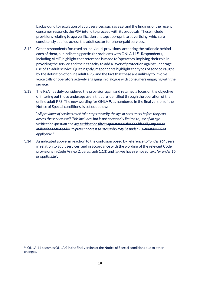background to regulation of adult services, such as SES, and the findings of the recent consumer research, the PSA intend to proceed with its proposals. These include provisions relating to age verification and age appropriate advertising, which are consistently applied across the adult sector for phone-paid services.

- 3.12 Other respondents focussed on individual provisions, accepting the rationale behind each of them, but indicating particular problems with ONLA 11<sup>15</sup>. Respondents, including AIME, highlight that reference is made to 'operators' implying their role in providing the service and their capacity to add a layer of protection against underage use of an adult service. Quite rightly, respondents highlight the types of service caught by the definition of online adult PRS, and the fact that these are unlikely to involve voice calls or operators actively engaging in dialogue with consumers engaging with the service.
- 3.13 The PSA has duly considered the provision again and retained a focus on the objective of filtering out those underage users that are identified through the operation of the online adult PRS. The new wording for ONLA 9, as numbered in the final version of the Notice of Special conditions, is set out below:

"*All providers of services must take steps to verify the age of consumers before they can access the service itself. This includes, but is not necessarily limited to, use of an age verification question and age verification filters operators trained to identify any other indication that a caller to prevent access to users who may be under 18, or under 16 as applicable.*"

3.14 As indicated above, in reaction to the confusion posed by reference to "*under 16*" users in relation to adult services, and in accordance with the wording of the relevant Code provisions in Code Annex 2, paragraph 1.1(f) and (g), we have removed text "*or under 16 as applicable*".

<sup>&</sup>lt;sup>15</sup> ONLA 11 becomes ONLA 9 in the final version of the Notice of Special conditions due to other changes.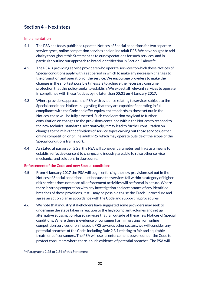## <span id="page-20-0"></span>**Section 4 – Next steps**

#### <span id="page-20-1"></span>**Implementation**

- 4.1 The PSA has today published updated Notices of Special conditions for two separate service types, online competition services and online adult PRS. We have sought to add clarity throughout this Statement as to our expectations for such services, and in particular outline our approach to brand identification in Section 2 above $^{16}$ .
- 4.2 The PSA is providing service providers who operate services to which these Notices of Special conditions apply with a set period in which to make any necessary changes to the promotion and operation of the service. We encourage providers to make the changes in the shortest possible timescale to achieve the necessary consumer protection that this policy seeks to establish. We expect all relevant services to operate in compliance with these Notices by no later than **00:01 on 4 January 2017**.
- 4.3 Where providers approach the PSA with evidence relating to services subject to the Special conditions Notices, suggesting that they are capable of operating in full compliance with the Code and offer equivalent standards as those set out in the Notices, these will be fully assessed. Such consideration may lead to further consultation on changes to the provisions contained within the Notices to respond to the new technical standards. Alternatively, it may lead to further consultation on changes to the relevant definitions of service types carving out those services, either online competition or online adult PRS, which may operate outside of the scope of the Special conditions framework.
- 4.4 As stated at paragraph 2.23, the PSA will consider parameterised links as a means to establish effective consent to charge, and industry are able to raise other service mechanics and solutions in due course.

#### <span id="page-20-2"></span>**Enforcement of the Code and new Special conditions**

- 4.5 From **4 January 2017** the PSA will begin enforcing the new provisions set out in the Notices of Special conditions. Just because the services fall within a category of higher risk services does not mean all enforcement activities will be formal in nature. Where there is strong cooperation with any investigation and acceptance of any identified breaches of these provisions, it still may be possible to use the Track 1 procedure and agree an action plan in accordance with the Code and supporting procedures.
- 4.6 We note that industry stakeholders have suggested some providers may seek to undermine the steps taken in reaction to the high complaint volumes and set up alternative subscription-based services that fall outside of these new Notices of Special conditions. Where there is evidence of consumer harm migrating from online competition services or online adult PRS towards other sectors, we will consider any potential breaches of the Code, including Rule 2.3.1 relating to fair and equitable treatment of consumers. The PSA will use its enforcement powers under the Code to protect consumers where there is such evidence of potential breaches. The PSA will

<sup>-</sup><sup>16</sup> Paragraphs 2.25 to 2.34 of this Statement